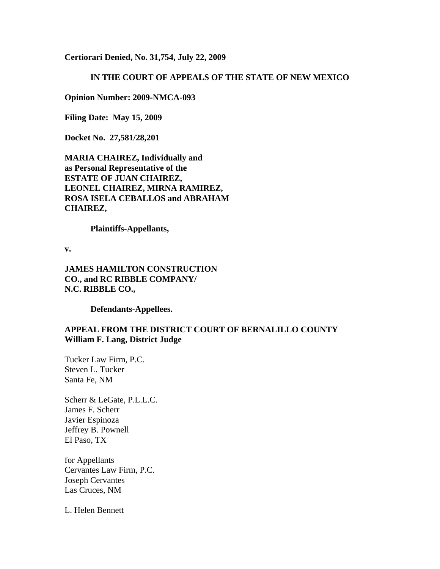**Certiorari Denied, No. 31,754, July 22, 2009**

#### **IN THE COURT OF APPEALS OF THE STATE OF NEW MEXICO**

**Opinion Number: 2009-NMCA-093**

**Filing Date: May 15, 2009** 

**Docket No. 27,581/28,201**

**MARIA CHAIREZ, Individually and as Personal Representative of the ESTATE OF JUAN CHAIREZ, LEONEL CHAIREZ, MIRNA RAMIREZ, ROSA ISELA CEBALLOS and ABRAHAM CHAIREZ,**

**Plaintiffs-Appellants,**

**v.**

**JAMES HAMILTON CONSTRUCTION CO., and RC RIBBLE COMPANY/ N.C. RIBBLE CO.,**

**Defendants-Appellees.**

#### **APPEAL FROM THE DISTRICT COURT OF BERNALILLO COUNTY William F. Lang, District Judge**

Tucker Law Firm, P.C. Steven L. Tucker Santa Fe, NM

Scherr & LeGate, P.L.L.C. James F. Scherr Javier Espinoza Jeffrey B. Pownell El Paso, TX

for Appellants Cervantes Law Firm, P.C. Joseph Cervantes Las Cruces, NM

L. Helen Bennett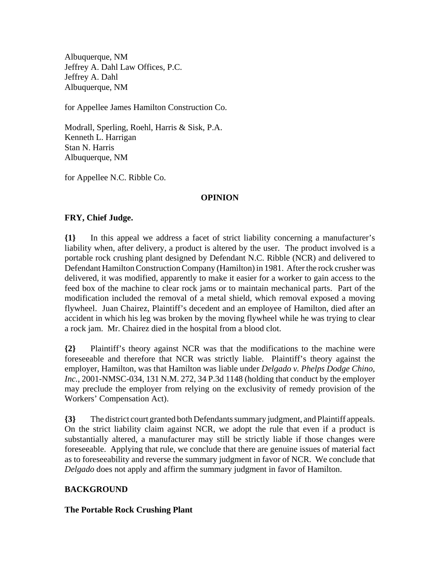Albuquerque, NM Jeffrey A. Dahl Law Offices, P.C. Jeffrey A. Dahl Albuquerque, NM

for Appellee James Hamilton Construction Co.

Modrall, Sperling, Roehl, Harris & Sisk, P.A. Kenneth L. Harrigan Stan N. Harris Albuquerque, NM

for Appellee N.C. Ribble Co.

#### **OPINION**

#### **FRY, Chief Judge.**

**{1}** In this appeal we address a facet of strict liability concerning a manufacturer's liability when, after delivery, a product is altered by the user. The product involved is a portable rock crushing plant designed by Defendant N.C. Ribble (NCR) and delivered to Defendant Hamilton Construction Company (Hamilton) in 1981. After the rock crusher was delivered, it was modified, apparently to make it easier for a worker to gain access to the feed box of the machine to clear rock jams or to maintain mechanical parts. Part of the modification included the removal of a metal shield, which removal exposed a moving flywheel. Juan Chairez, Plaintiff's decedent and an employee of Hamilton, died after an accident in which his leg was broken by the moving flywheel while he was trying to clear a rock jam. Mr. Chairez died in the hospital from a blood clot.

**{2}** Plaintiff's theory against NCR was that the modifications to the machine were foreseeable and therefore that NCR was strictly liable. Plaintiff's theory against the employer, Hamilton, was that Hamilton was liable under *Delgado v. Phelps Dodge Chino, Inc.*, 2001-NMSC-034, 131 N.M. 272, 34 P.3d 1148 (holding that conduct by the employer may preclude the employer from relying on the exclusivity of remedy provision of the Workers' Compensation Act).

**{3}** The district court granted both Defendants summary judgment, and Plaintiff appeals. On the strict liability claim against NCR, we adopt the rule that even if a product is substantially altered, a manufacturer may still be strictly liable if those changes were foreseeable. Applying that rule, we conclude that there are genuine issues of material fact as to foreseeability and reverse the summary judgment in favor of NCR. We conclude that *Delgado* does not apply and affirm the summary judgment in favor of Hamilton.

## **BACKGROUND**

**The Portable Rock Crushing Plant**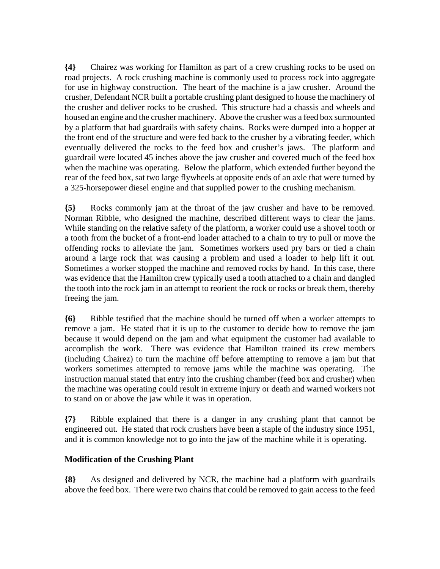**{4}** Chairez was working for Hamilton as part of a crew crushing rocks to be used on road projects. A rock crushing machine is commonly used to process rock into aggregate for use in highway construction. The heart of the machine is a jaw crusher. Around the crusher, Defendant NCR built a portable crushing plant designed to house the machinery of the crusher and deliver rocks to be crushed. This structure had a chassis and wheels and housed an engine and the crusher machinery. Above the crusher was a feed box surmounted by a platform that had guardrails with safety chains. Rocks were dumped into a hopper at the front end of the structure and were fed back to the crusher by a vibrating feeder, which eventually delivered the rocks to the feed box and crusher's jaws. The platform and guardrail were located 45 inches above the jaw crusher and covered much of the feed box when the machine was operating. Below the platform, which extended further beyond the rear of the feed box, sat two large flywheels at opposite ends of an axle that were turned by a 325-horsepower diesel engine and that supplied power to the crushing mechanism.

**{5}** Rocks commonly jam at the throat of the jaw crusher and have to be removed. Norman Ribble, who designed the machine, described different ways to clear the jams. While standing on the relative safety of the platform, a worker could use a shovel tooth or a tooth from the bucket of a front-end loader attached to a chain to try to pull or move the offending rocks to alleviate the jam. Sometimes workers used pry bars or tied a chain around a large rock that was causing a problem and used a loader to help lift it out. Sometimes a worker stopped the machine and removed rocks by hand. In this case, there was evidence that the Hamilton crew typically used a tooth attached to a chain and dangled the tooth into the rock jam in an attempt to reorient the rock or rocks or break them, thereby freeing the jam.

**{6}** Ribble testified that the machine should be turned off when a worker attempts to remove a jam. He stated that it is up to the customer to decide how to remove the jam because it would depend on the jam and what equipment the customer had available to accomplish the work. There was evidence that Hamilton trained its crew members (including Chairez) to turn the machine off before attempting to remove a jam but that workers sometimes attempted to remove jams while the machine was operating. The instruction manual stated that entry into the crushing chamber (feed box and crusher) when the machine was operating could result in extreme injury or death and warned workers not to stand on or above the jaw while it was in operation.

**{7}** Ribble explained that there is a danger in any crushing plant that cannot be engineered out. He stated that rock crushers have been a staple of the industry since 1951, and it is common knowledge not to go into the jaw of the machine while it is operating.

## **Modification of the Crushing Plant**

**{8}** As designed and delivered by NCR, the machine had a platform with guardrails above the feed box. There were two chains that could be removed to gain access to the feed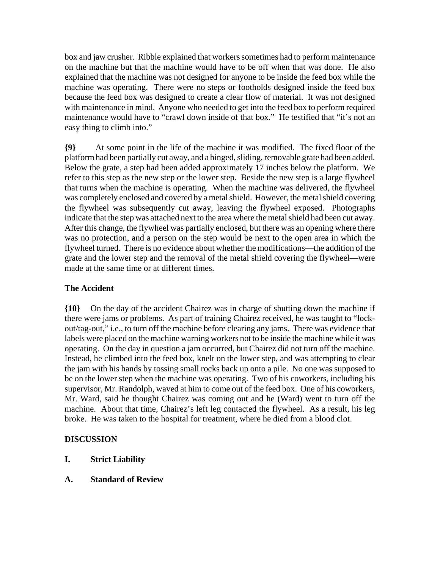box and jaw crusher. Ribble explained that workers sometimes had to perform maintenance on the machine but that the machine would have to be off when that was done. He also explained that the machine was not designed for anyone to be inside the feed box while the machine was operating. There were no steps or footholds designed inside the feed box because the feed box was designed to create a clear flow of material. It was not designed with maintenance in mind. Anyone who needed to get into the feed box to perform required maintenance would have to "crawl down inside of that box." He testified that "it's not an easy thing to climb into."

**{9}** At some point in the life of the machine it was modified. The fixed floor of the platform had been partially cut away, and a hinged, sliding, removable grate had been added. Below the grate, a step had been added approximately 17 inches below the platform. We refer to this step as the new step or the lower step. Beside the new step is a large flywheel that turns when the machine is operating. When the machine was delivered, the flywheel was completely enclosed and covered by a metal shield. However, the metal shield covering the flywheel was subsequently cut away, leaving the flywheel exposed. Photographs indicate that the step was attached next to the area where the metal shield had been cut away. After this change, the flywheel was partially enclosed, but there was an opening where there was no protection, and a person on the step would be next to the open area in which the flywheel turned. There is no evidence about whether the modifications—the addition of the grate and the lower step and the removal of the metal shield covering the flywheel—were made at the same time or at different times.

## **The Accident**

**{10}** On the day of the accident Chairez was in charge of shutting down the machine if there were jams or problems. As part of training Chairez received, he was taught to "lockout/tag-out," i.e., to turn off the machine before clearing any jams. There was evidence that labels were placed on the machine warning workers not to be inside the machine while it was operating. On the day in question a jam occurred, but Chairez did not turn off the machine. Instead, he climbed into the feed box, knelt on the lower step, and was attempting to clear the jam with his hands by tossing small rocks back up onto a pile. No one was supposed to be on the lower step when the machine was operating. Two of his coworkers, including his supervisor, Mr. Randolph, waved at him to come out of the feed box. One of his coworkers, Mr. Ward, said he thought Chairez was coming out and he (Ward) went to turn off the machine. About that time, Chairez's left leg contacted the flywheel. As a result, his leg broke. He was taken to the hospital for treatment, where he died from a blood clot.

## **DISCUSSION**

- **I. Strict Liability**
- **A. Standard of Review**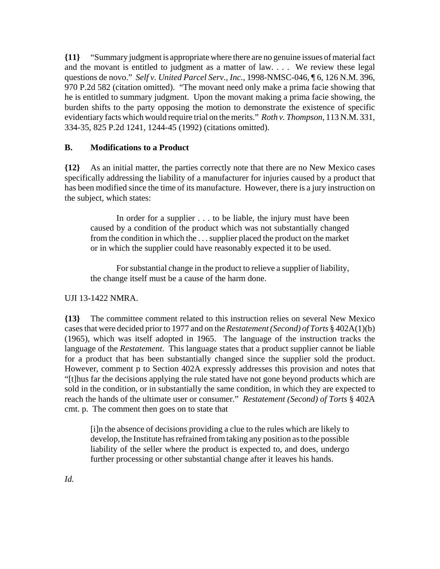**{11}** "Summary judgment is appropriate where there are no genuine issues of material fact and the movant is entitled to judgment as a matter of law. . . . We review these legal questions de novo." *Self v. United Parcel Serv., Inc.*, 1998-NMSC-046, ¶ 6, 126 N.M. 396, 970 P.2d 582 (citation omitted). "The movant need only make a prima facie showing that he is entitled to summary judgment. Upon the movant making a prima facie showing, the burden shifts to the party opposing the motion to demonstrate the existence of specific evidentiary facts which would require trial on the merits." *Roth v. Thompson*, 113 N.M. 331, 334-35, 825 P.2d 1241, 1244-45 (1992) (citations omitted).

## **B. Modifications to a Product**

**{12}** As an initial matter, the parties correctly note that there are no New Mexico cases specifically addressing the liability of a manufacturer for injuries caused by a product that has been modified since the time of its manufacture. However, there is a jury instruction on the subject, which states:

In order for a supplier . . . to be liable, the injury must have been caused by a condition of the product which was not substantially changed from the condition in which the . . . supplier placed the product on the market or in which the supplier could have reasonably expected it to be used.

For substantial change in the product to relieve a supplier of liability, the change itself must be a cause of the harm done.

#### UJI 13-1422 NMRA.

**{13}** The committee comment related to this instruction relies on several New Mexico cases that were decided prior to 1977 and on the *Restatement (Second) of Torts* § 402A(1)(b) (1965), which was itself adopted in 1965. The language of the instruction tracks the language of the *Restatement*. This language states that a product supplier cannot be liable for a product that has been substantially changed since the supplier sold the product. However, comment p to Section 402A expressly addresses this provision and notes that "[t]hus far the decisions applying the rule stated have not gone beyond products which are sold in the condition, or in substantially the same condition, in which they are expected to reach the hands of the ultimate user or consumer." *Restatement (Second) of Torts* § 402A cmt. p. The comment then goes on to state that

[i]n the absence of decisions providing a clue to the rules which are likely to develop, the Institute has refrained from taking any position as to the possible liability of the seller where the product is expected to, and does, undergo further processing or other substantial change after it leaves his hands.

*Id.*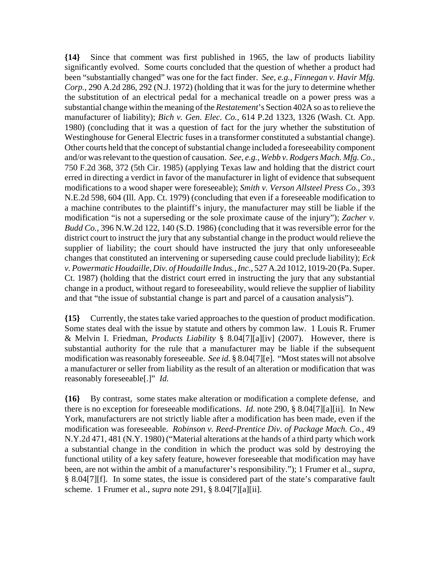**{14}** Since that comment was first published in 1965, the law of products liability significantly evolved. Some courts concluded that the question of whether a product had been "substantially changed" was one for the fact finder. *See, e.g.*, *Finnegan v. Havir Mfg. Corp.*, 290 A.2d 286, 292 (N.J. 1972) (holding that it was for the jury to determine whether the substitution of an electrical pedal for a mechanical treadle on a power press was a substantial change within the meaning of the *Restatement*'s Section 402A so as to relieve the manufacturer of liability); *Bich v. Gen. Elec. Co.*, 614 P.2d 1323, 1326 (Wash. Ct. App. 1980) (concluding that it was a question of fact for the jury whether the substitution of Westinghouse for General Electric fuses in a transformer constituted a substantial change). Other courts held that the concept of substantial change included a foreseeability component and/or was relevant to the question of causation. *See, e.g.*, *Webb v. Rodgers Mach. Mfg. Co.*, 750 F.2d 368, 372 (5th Cir. 1985) (applying Texas law and holding that the district court erred in directing a verdict in favor of the manufacturer in light of evidence that subsequent modifications to a wood shaper were foreseeable); *Smith v. Verson Allsteel Press Co.*, 393 N.E.2d 598, 604 (Ill. App. Ct. 1979) (concluding that even if a foreseeable modification to a machine contributes to the plaintiff's injury, the manufacturer may still be liable if the modification "is not a superseding or the sole proximate cause of the injury"); *Zacher v. Budd Co.*, 396 N.W.2d 122, 140 (S.D. 1986) (concluding that it was reversible error for the district court to instruct the jury that any substantial change in the product would relieve the supplier of liability; the court should have instructed the jury that only unforeseeable changes that constituted an intervening or superseding cause could preclude liability); *Eck v. Powermatic Houdaille, Div. of Houdaille Indus., Inc.*, 527 A.2d 1012, 1019-20 (Pa. Super. Ct. 1987) (holding that the district court erred in instructing the jury that any substantial change in a product, without regard to foreseeability, would relieve the supplier of liability and that "the issue of substantial change is part and parcel of a causation analysis").

**{15}** Currently, the states take varied approaches to the question of product modification. Some states deal with the issue by statute and others by common law. 1 Louis R. Frumer & Melvin I. Friedman, *Products Liability* § 8.04[7][a][iv] (2007). However, there is substantial authority for the rule that a manufacturer may be liable if the subsequent modification was reasonably foreseeable. *See id.* § 8.04[7][e]. "Most states will not absolve a manufacturer or seller from liability as the result of an alteration or modification that was reasonably foreseeable[.]" *Id.*

**{16}** By contrast, some states make alteration or modification a complete defense, and there is no exception for foreseeable modifications. *Id.* note 290, § 8.04[7][a][ii]. In New York, manufacturers are not strictly liable after a modification has been made, even if the modification was foreseeable. *Robinson v. Reed-Prentice Div. of Package Mach. Co.*, 49 N.Y.2d 471, 481 (N.Y. 1980) ("Material alterations at the hands of a third party which work a substantial change in the condition in which the product was sold by destroying the functional utility of a key safety feature, however foreseeable that modification may have been, are not within the ambit of a manufacturer's responsibility."); 1 Frumer et al., *supra*, § 8.04[7][f]. In some states, the issue is considered part of the state's comparative fault scheme. 1 Frumer et al., *supra* note 291, § 8.04[7][a][ii].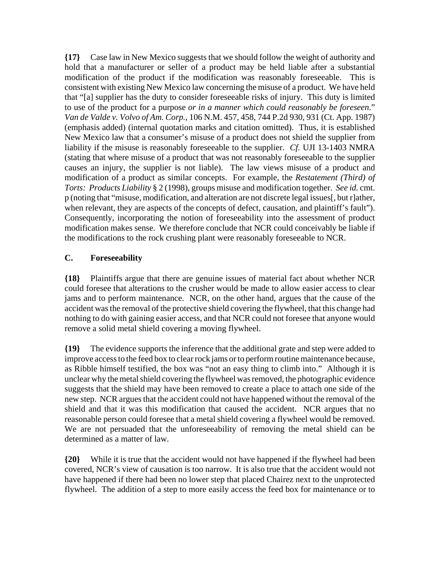**{17}** Case law in New Mexico suggests that we should follow the weight of authority and hold that a manufacturer or seller of a product may be held liable after a substantial modification of the product if the modification was reasonably foreseeable. This is consistent with existing New Mexico law concerning the misuse of a product. We have held that "[a] supplier has the duty to consider foreseeable risks of injury. This duty is limited to use of the product for a purpose *or in a manner which could reasonably be foreseen*." *Van de Valde v. Volvo of Am. Corp.*, 106 N.M. 457, 458, 744 P.2d 930, 931 (Ct. App. 1987) (emphasis added) (internal quotation marks and citation omitted). Thus, it is established New Mexico law that a consumer's misuse of a product does not shield the supplier from liability if the misuse is reasonably foreseeable to the supplier. *Cf.* UJI 13-1403 NMRA (stating that where misuse of a product that was not reasonably foreseeable to the supplier causes an injury, the supplier is not liable). The law views misuse of a product and modification of a product as similar concepts. For example, the *Restatement (Third) of Torts: Products Liability* § 2 (1998), groups misuse and modification together. *See id.* cmt. p (noting that "misuse, modification, and alteration are not discrete legal issues[, but r]ather, when relevant, they are aspects of the concepts of defect, causation, and plaintiff's fault"). Consequently, incorporating the notion of foreseeability into the assessment of product modification makes sense. We therefore conclude that NCR could conceivably be liable if the modifications to the rock crushing plant were reasonably foreseeable to NCR.

## **C. Foreseeability**

**{18}** Plaintiffs argue that there are genuine issues of material fact about whether NCR could foresee that alterations to the crusher would be made to allow easier access to clear jams and to perform maintenance. NCR, on the other hand, argues that the cause of the accident was the removal of the protective shield covering the flywheel, that this change had nothing to do with gaining easier access, and that NCR could not foresee that anyone would remove a solid metal shield covering a moving flywheel.

**{19}** The evidence supports the inference that the additional grate and step were added to improve access to the feed box to clear rock jams or to perform routine maintenance because, as Ribble himself testified, the box was "not an easy thing to climb into." Although it is unclear why the metal shield covering the flywheel was removed, the photographic evidence suggests that the shield may have been removed to create a place to attach one side of the new step. NCR argues that the accident could not have happened without the removal of the shield and that it was this modification that caused the accident. NCR argues that no reasonable person could foresee that a metal shield covering a flywheel would be removed. We are not persuaded that the unforeseeability of removing the metal shield can be determined as a matter of law.

**{20}** While it is true that the accident would not have happened if the flywheel had been covered, NCR's view of causation is too narrow. It is also true that the accident would not have happened if there had been no lower step that placed Chairez next to the unprotected flywheel. The addition of a step to more easily access the feed box for maintenance or to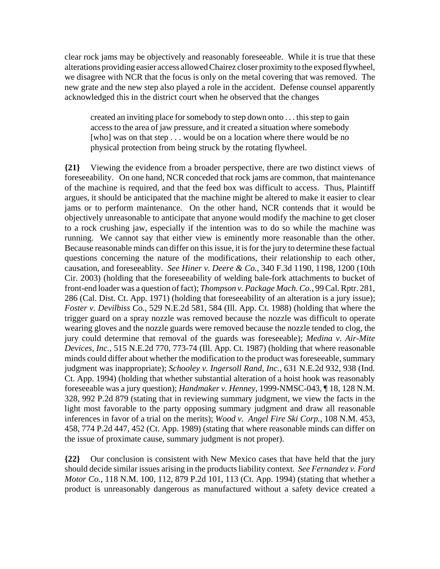clear rock jams may be objectively and reasonably foreseeable. While it is true that these alterations providing easier access allowed Chairez closer proximity to the exposed flywheel, we disagree with NCR that the focus is only on the metal covering that was removed. The new grate and the new step also played a role in the accident. Defense counsel apparently acknowledged this in the district court when he observed that the changes

created an inviting place for somebody to step down onto . . . this step to gain access to the area of jaw pressure, and it created a situation where somebody [who] was on that step . . . would be on a location where there would be no physical protection from being struck by the rotating flywheel.

**{21}** Viewing the evidence from a broader perspective, there are two distinct views of foreseeability. On one hand, NCR conceded that rock jams are common, that maintenance of the machine is required, and that the feed box was difficult to access. Thus, Plaintiff argues, it should be anticipated that the machine might be altered to make it easier to clear jams or to perform maintenance. On the other hand, NCR contends that it would be objectively unreasonable to anticipate that anyone would modify the machine to get closer to a rock crushing jaw, especially if the intention was to do so while the machine was running. We cannot say that either view is eminently more reasonable than the other. Because reasonable minds can differ on this issue, it is for the jury to determine these factual questions concerning the nature of the modifications, their relationship to each other, causation, and foreseeablity. *See Hiner v. Deere & Co.*, 340 F.3d 1190, 1198, 1200 (10th Cir. 2003) (holding that the foreseeability of welding bale-fork attachments to bucket of front-end loader was a question of fact); *Thompson v. Package Mach. Co.*, 99 Cal. Rptr. 281, 286 (Cal. Dist. Ct. App. 1971) (holding that foreseeability of an alteration is a jury issue); *Foster v. Devilbiss Co.*, 529 N.E.2d 581, 584 (Ill. App. Ct. 1988) (holding that where the trigger guard on a spray nozzle was removed because the nozzle was difficult to operate wearing gloves and the nozzle guards were removed because the nozzle tended to clog, the jury could determine that removal of the guards was foreseeable); *Medina v. Air-Mite Devices, Inc.*, 515 N.E.2d 770, 773-74 (Ill. App. Ct. 1987) (holding that where reasonable minds could differ about whether the modification to the product was foreseeable, summary judgment was inappropriate); *Schooley v. Ingersoll Rand, Inc.*, 631 N.E.2d 932, 938 (Ind. Ct. App. 1994) (holding that whether substantial alteration of a hoist hook was reasonably foreseeable was a jury question); *Handmaker v. Henney*, 1999-NMSC-043, ¶ 18, 128 N.M. 328, 992 P.2d 879 (stating that in reviewing summary judgment, we view the facts in the light most favorable to the party opposing summary judgment and draw all reasonable inferences in favor of a trial on the merits); *Wood v. Angel Fire Ski Corp.*, 108 N.M. 453, 458, 774 P.2d 447, 452 (Ct. App. 1989) (stating that where reasonable minds can differ on the issue of proximate cause, summary judgment is not proper).

**{22}** Our conclusion is consistent with New Mexico cases that have held that the jury should decide similar issues arising in the products liability context. *See Fernandez v. Ford Motor Co.*, 118 N.M. 100, 112, 879 P.2d 101, 113 (Ct. App. 1994) (stating that whether a product is unreasonably dangerous as manufactured without a safety device created a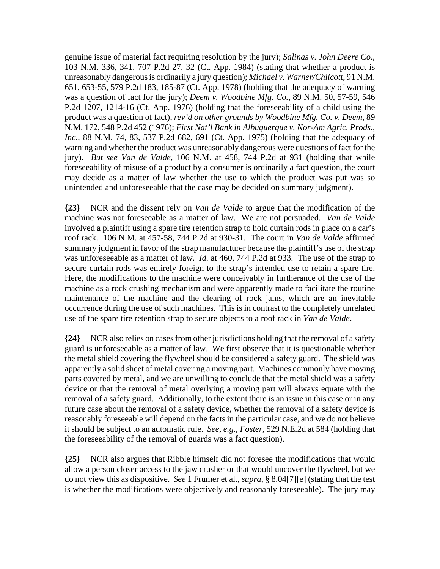genuine issue of material fact requiring resolution by the jury); *Salinas v. John Deere Co.*, 103 N.M. 336, 341, 707 P.2d 27, 32 (Ct. App. 1984) (stating that whether a product is unreasonably dangerous is ordinarily a jury question); *Michael v. Warner/Chilcott*, 91 N.M. 651, 653-55, 579 P.2d 183, 185-87 (Ct. App. 1978) (holding that the adequacy of warning was a question of fact for the jury); *Deem v. Woodbine Mfg. Co.*, 89 N.M. 50, 57-59, 546 P.2d 1207, 1214-16 (Ct. App. 1976) (holding that the foreseeability of a child using the product was a question of fact), *rev'd on other grounds by Woodbine Mfg. Co. v. Deem*, 89 N.M. 172, 548 P.2d 452 (1976); *First Nat'l Bank in Albuquerque v. Nor-Am Agric. Prods., Inc.*, 88 N.M. 74, 83, 537 P.2d 682, 691 (Ct. App. 1975) (holding that the adequacy of warning and whether the product was unreasonably dangerous were questions of fact for the jury). *But see Van de Valde*, 106 N.M. at 458, 744 P.2d at 931 (holding that while foreseeability of misuse of a product by a consumer is ordinarily a fact question, the court may decide as a matter of law whether the use to which the product was put was so unintended and unforeseeable that the case may be decided on summary judgment).

**{23}** NCR and the dissent rely on *Van de Valde* to argue that the modification of the machine was not foreseeable as a matter of law. We are not persuaded. *Van de Valde* involved a plaintiff using a spare tire retention strap to hold curtain rods in place on a car's roof rack. 106 N.M. at 457-58, 744 P.2d at 930-31. The court in *Van de Valde* affirmed summary judgment in favor of the strap manufacturer because the plaintiff's use of the strap was unforeseeable as a matter of law. *Id.* at 460, 744 P.2d at 933. The use of the strap to secure curtain rods was entirely foreign to the strap's intended use to retain a spare tire. Here, the modifications to the machine were conceivably in furtherance of the use of the machine as a rock crushing mechanism and were apparently made to facilitate the routine maintenance of the machine and the clearing of rock jams, which are an inevitable occurrence during the use of such machines. This is in contrast to the completely unrelated use of the spare tire retention strap to secure objects to a roof rack in *Van de Valde*.

**{24}** NCR also relies on cases from other jurisdictions holding that the removal of a safety guard is unforeseeable as a matter of law. We first observe that it is questionable whether the metal shield covering the flywheel should be considered a safety guard. The shield was apparently a solid sheet of metal covering a moving part. Machines commonly have moving parts covered by metal, and we are unwilling to conclude that the metal shield was a safety device or that the removal of metal overlying a moving part will always equate with the removal of a safety guard. Additionally, to the extent there is an issue in this case or in any future case about the removal of a safety device, whether the removal of a safety device is reasonably foreseeable will depend on the facts in the particular case, and we do not believe it should be subject to an automatic rule. *See, e.g., Foster*, 529 N.E.2d at 584 (holding that the foreseeability of the removal of guards was a fact question).

**{25}** NCR also argues that Ribble himself did not foresee the modifications that would allow a person closer access to the jaw crusher or that would uncover the flywheel, but we do not view this as dispositive. *See* 1 Frumer et al., *supra*, § 8.04[7][e] (stating that the test is whether the modifications were objectively and reasonably foreseeable). The jury may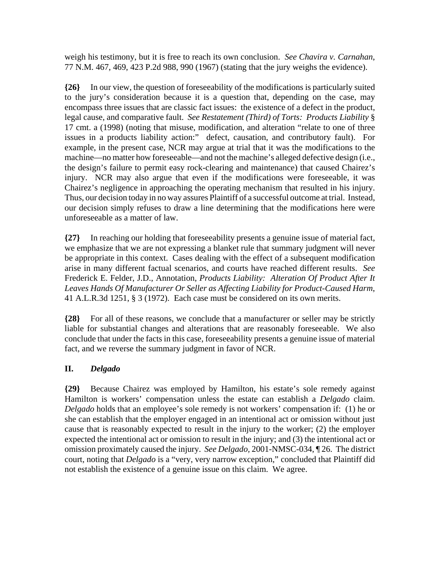weigh his testimony, but it is free to reach its own conclusion. *See Chavira v. Carnahan*, 77 N.M. 467, 469, 423 P.2d 988, 990 (1967) (stating that the jury weighs the evidence).

**{26}** In our view, the question of foreseeability of the modifications is particularly suited to the jury's consideration because it is a question that, depending on the case, may encompass three issues that are classic fact issues: the existence of a defect in the product, legal cause, and comparative fault. *See Restatement (Third) of Torts: Products Liability* § 17 cmt. a (1998) (noting that misuse, modification, and alteration "relate to one of three issues in a products liability action:" defect, causation, and contributory fault). For example, in the present case, NCR may argue at trial that it was the modifications to the machine—no matter how foreseeable—and not the machine's alleged defective design (i.e., the design's failure to permit easy rock-clearing and maintenance) that caused Chairez's injury. NCR may also argue that even if the modifications were foreseeable, it was Chairez's negligence in approaching the operating mechanism that resulted in his injury. Thus, our decision today in no way assures Plaintiff of a successful outcome at trial. Instead, our decision simply refuses to draw a line determining that the modifications here were unforeseeable as a matter of law.

**{27}** In reaching our holding that foreseeability presents a genuine issue of material fact, we emphasize that we are not expressing a blanket rule that summary judgment will never be appropriate in this context. Cases dealing with the effect of a subsequent modification arise in many different factual scenarios, and courts have reached different results. *See* Frederick E. Felder, J.D., Annotation, *Products Liability: Alteration Of Product After It Leaves Hands Of Manufacturer Or Seller as Affecting Liability for Product-Caused Harm*, 41 A.L.R.3d 1251, § 3 (1972). Each case must be considered on its own merits.

**{28}** For all of these reasons, we conclude that a manufacturer or seller may be strictly liable for substantial changes and alterations that are reasonably foreseeable. We also conclude that under the facts in this case, foreseeability presents a genuine issue of material fact, and we reverse the summary judgment in favor of NCR.

## **II.** *Delgado*

**{29}** Because Chairez was employed by Hamilton, his estate's sole remedy against Hamilton is workers' compensation unless the estate can establish a *Delgado* claim. *Delgado* holds that an employee's sole remedy is not workers' compensation if: (1) he or she can establish that the employer engaged in an intentional act or omission without just cause that is reasonably expected to result in the injury to the worker; (2) the employer expected the intentional act or omission to result in the injury; and (3) the intentional act or omission proximately caused the injury. *See Delgado,* 2001-NMSC-034, ¶ 26. The district court, noting that *Delgado* is a "very, very narrow exception," concluded that Plaintiff did not establish the existence of a genuine issue on this claim. We agree.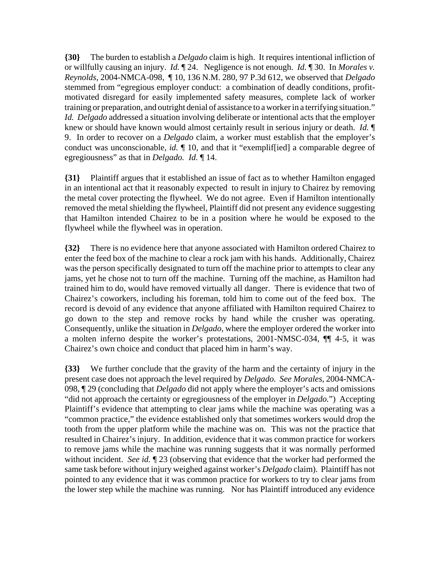**{30}** The burden to establish a *Delgado* claim is high. It requires intentional infliction of or willfully causing an injury. *Id.* ¶ 24. Negligence is not enough. *Id.* ¶ 30. In *Morales v. Reynolds*, 2004-NMCA-098, ¶ 10, 136 N.M. 280, 97 P.3d 612, we observed that *Delgado* stemmed from "egregious employer conduct: a combination of deadly conditions, profitmotivated disregard for easily implemented safety measures, complete lack of worker training or preparation, and outright denial of assistance to a worker in a terrifying situation." *Id. Delgado* addressed a situation involving deliberate or intentional acts that the employer knew or should have known would almost certainly result in serious injury or death. *Id.* ¶ 9. In order to recover on a *Delgado* claim, a worker must establish that the employer's conduct was unconscionable, *id.* ¶ 10, and that it "exemplif[ied] a comparable degree of egregiousness" as that in *Delgado. Id.* ¶ 14.

**{31}** Plaintiff argues that it established an issue of fact as to whether Hamilton engaged in an intentional act that it reasonably expected to result in injury to Chairez by removing the metal cover protecting the flywheel. We do not agree. Even if Hamilton intentionally removed the metal shielding the flywheel, Plaintiff did not present any evidence suggesting that Hamilton intended Chairez to be in a position where he would be exposed to the flywheel while the flywheel was in operation.

**{32}** There is no evidence here that anyone associated with Hamilton ordered Chairez to enter the feed box of the machine to clear a rock jam with his hands. Additionally, Chairez was the person specifically designated to turn off the machine prior to attempts to clear any jams, yet he chose not to turn off the machine. Turning off the machine, as Hamilton had trained him to do, would have removed virtually all danger. There is evidence that two of Chairez's coworkers, including his foreman, told him to come out of the feed box. The record is devoid of any evidence that anyone affiliated with Hamilton required Chairez to go down to the step and remove rocks by hand while the crusher was operating. Consequently, unlike the situation in *Delgado*, where the employer ordered the worker into a molten inferno despite the worker's protestations, 2001-NMSC-034, ¶¶ 4-5, it was Chairez's own choice and conduct that placed him in harm's way.

**{33}** We further conclude that the gravity of the harm and the certainty of injury in the present case does not approach the level required by *Delgado. See Morales,* 2004-NMCA-098, ¶ 29 (concluding that *Delgado* did not apply where the employer's acts and omissions "did not approach the certainty or egregiousness of the employer in *Delgado.*") Accepting Plaintiff's evidence that attempting to clear jams while the machine was operating was a "common practice," the evidence established only that sometimes workers would drop the tooth from the upper platform while the machine was on. This was not the practice that resulted in Chairez's injury. In addition, evidence that it was common practice for workers to remove jams while the machine was running suggests that it was normally performed without incident. *See id.* ¶ 23 (observing that evidence that the worker had performed the same task before without injury weighed against worker's *Delgado* claim). Plaintiff has not pointed to any evidence that it was common practice for workers to try to clear jams from the lower step while the machine was running. Nor has Plaintiff introduced any evidence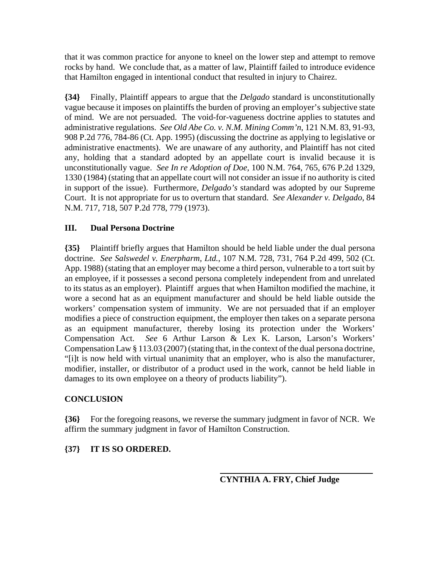that it was common practice for anyone to kneel on the lower step and attempt to remove rocks by hand. We conclude that, as a matter of law, Plaintiff failed to introduce evidence that Hamilton engaged in intentional conduct that resulted in injury to Chairez.

**{34}** Finally, Plaintiff appears to argue that the *Delgado* standard is unconstitutionally vague because it imposes on plaintiffs the burden of proving an employer's subjective state of mind. We are not persuaded. The void-for-vagueness doctrine applies to statutes and administrative regulations. *See Old Abe Co. v. N.M. Mining Comm'n*, 121 N.M. 83, 91-93, 908 P.2d 776, 784-86 (Ct. App. 1995) (discussing the doctrine as applying to legislative or administrative enactments). We are unaware of any authority, and Plaintiff has not cited any, holding that a standard adopted by an appellate court is invalid because it is unconstitutionally vague. *See In re Adoption of Doe*, 100 N.M. 764, 765, 676 P.2d 1329, 1330 (1984) (stating that an appellate court will not consider an issue if no authority is cited in support of the issue). Furthermore, *Delgado's* standard was adopted by our Supreme Court. It is not appropriate for us to overturn that standard. *See Alexander v. Delgado*, 84 N.M. 717, 718, 507 P.2d 778, 779 (1973).

# **III. Dual Persona Doctrine**

**{35}** Plaintiff briefly argues that Hamilton should be held liable under the dual persona doctrine. *See Salswedel v. Enerpharm, Ltd.*, 107 N.M. 728, 731, 764 P.2d 499, 502 (Ct. App. 1988) (stating that an employer may become a third person, vulnerable to a tort suit by an employee, if it possesses a second persona completely independent from and unrelated to its status as an employer). Plaintiff argues that when Hamilton modified the machine, it wore a second hat as an equipment manufacturer and should be held liable outside the workers' compensation system of immunity. We are not persuaded that if an employer modifies a piece of construction equipment, the employer then takes on a separate persona as an equipment manufacturer, thereby losing its protection under the Workers' Compensation Act. *See* 6 Arthur Larson & Lex K. Larson, Larson's Workers' Compensation Law § 113.03 (2007) (stating that, in the context of the dual persona doctrine, "[i]t is now held with virtual unanimity that an employer, who is also the manufacturer, modifier, installer, or distributor of a product used in the work, cannot be held liable in damages to its own employee on a theory of products liability").

## **CONCLUSION**

**{36}** For the foregoing reasons, we reverse the summary judgment in favor of NCR. We affirm the summary judgment in favor of Hamilton Construction.

## **{37} IT IS SO ORDERED.**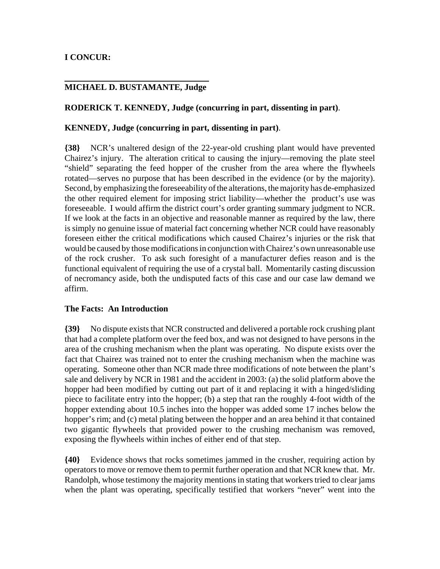# **I CONCUR:**

# **MICHAEL D. BUSTAMANTE, Judge**

#### **RODERICK T. KENNEDY, Judge (concurring in part, dissenting in part)**.

#### **KENNEDY, Judge (concurring in part, dissenting in part)**.

**{38}** NCR's unaltered design of the 22-year-old crushing plant would have prevented Chairez's injury. The alteration critical to causing the injury—removing the plate steel "shield" separating the feed hopper of the crusher from the area where the flywheels rotated—serves no purpose that has been described in the evidence (or by the majority). Second, by emphasizing the foreseeability of the alterations, the majority has de-emphasized the other required element for imposing strict liability—whether the product's use was foreseeable. I would affirm the district court's order granting summary judgment to NCR. If we look at the facts in an objective and reasonable manner as required by the law, there is simply no genuine issue of material fact concerning whether NCR could have reasonably foreseen either the critical modifications which caused Chairez's injuries or the risk that would be caused by those modifications in conjunction with Chairez's own unreasonable use of the rock crusher. To ask such foresight of a manufacturer defies reason and is the functional equivalent of requiring the use of a crystal ball. Momentarily casting discussion of necromancy aside, both the undisputed facts of this case and our case law demand we affirm.

#### **The Facts: An Introduction**

**{39}** No dispute exists that NCR constructed and delivered a portable rock crushing plant that had a complete platform over the feed box, and was not designed to have persons in the area of the crushing mechanism when the plant was operating. No dispute exists over the fact that Chairez was trained not to enter the crushing mechanism when the machine was operating. Someone other than NCR made three modifications of note between the plant's sale and delivery by NCR in 1981 and the accident in 2003: (a) the solid platform above the hopper had been modified by cutting out part of it and replacing it with a hinged/sliding piece to facilitate entry into the hopper; (b) a step that ran the roughly 4-foot width of the hopper extending about 10.5 inches into the hopper was added some 17 inches below the hopper's rim; and (c) metal plating between the hopper and an area behind it that contained two gigantic flywheels that provided power to the crushing mechanism was removed, exposing the flywheels within inches of either end of that step.

**{40}** Evidence shows that rocks sometimes jammed in the crusher, requiring action by operators to move or remove them to permit further operation and that NCR knew that. Mr. Randolph, whose testimony the majority mentions in stating that workers tried to clear jams when the plant was operating, specifically testified that workers "never" went into the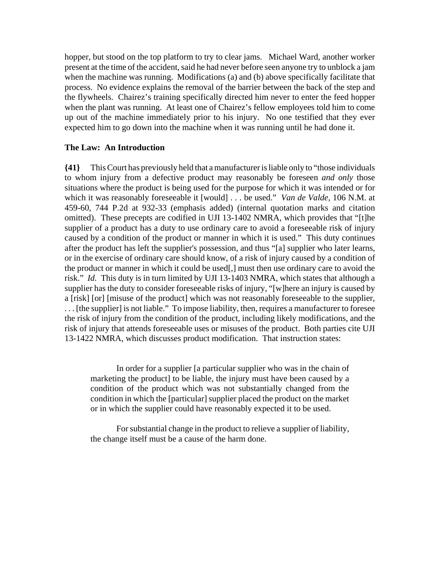hopper, but stood on the top platform to try to clear jams. Michael Ward, another worker present at the time of the accident, said he had never before seen anyone try to unblock a jam when the machine was running. Modifications (a) and (b) above specifically facilitate that process. No evidence explains the removal of the barrier between the back of the step and the flywheels. Chairez's training specifically directed him never to enter the feed hopper when the plant was running. At least one of Chairez's fellow employees told him to come up out of the machine immediately prior to his injury. No one testified that they ever expected him to go down into the machine when it was running until he had done it.

#### **The Law: An Introduction**

**{41}** This Court has previously held that a manufacturer is liable only to "those individuals to whom injury from a defective product may reasonably be foreseen *and only* those situations where the product is being used for the purpose for which it was intended or for which it was reasonably foreseeable it [would] . . . be used." *Van de Valde,* 106 N.M. at 459-60, 744 P.2d at 932-33 (emphasis added) (internal quotation marks and citation omitted). These precepts are codified in UJI 13-1402 NMRA, which provides that "[t]he supplier of a product has a duty to use ordinary care to avoid a foreseeable risk of injury caused by a condition of the product or manner in which it is used." This duty continues after the product has left the supplier's possession, and thus "[a] supplier who later learns, or in the exercise of ordinary care should know, of a risk of injury caused by a condition of the product or manner in which it could be used[,] must then use ordinary care to avoid the risk." *Id.* This duty is in turn limited by UJI 13-1403 NMRA, which states that although a supplier has the duty to consider foreseeable risks of injury, "[w]here an injury is caused by a [risk] [or] [misuse of the product] which was not reasonably foreseeable to the supplier, . . . [the supplier] is not liable." To impose liability, then, requires a manufacturer to foresee the risk of injury from the condition of the product, including likely modifications, and the risk of injury that attends foreseeable uses or misuses of the product. Both parties cite UJI 13-1422 NMRA, which discusses product modification. That instruction states:

In order for a supplier [a particular supplier who was in the chain of marketing the product] to be liable, the injury must have been caused by a condition of the product which was not substantially changed from the condition in which the [particular] supplier placed the product on the market or in which the supplier could have reasonably expected it to be used.

For substantial change in the product to relieve a supplier of liability, the change itself must be a cause of the harm done.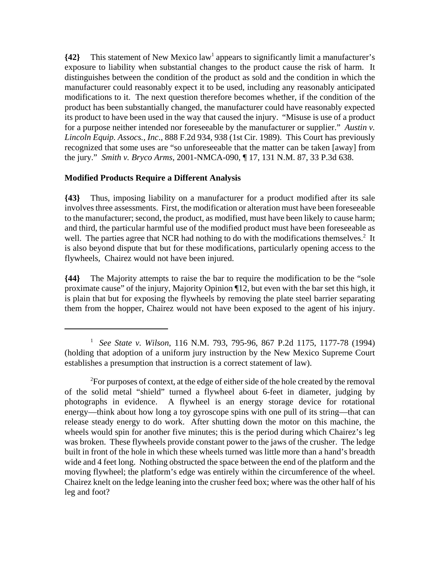**{42}** This statement of New Mexico law<sup>1</sup> appears to significantly limit a manufacturer's exposure to liability when substantial changes to the product cause the risk of harm. It distinguishes between the condition of the product as sold and the condition in which the manufacturer could reasonably expect it to be used, including any reasonably anticipated modifications to it. The next question therefore becomes whether, if the condition of the product has been substantially changed, the manufacturer could have reasonably expected its product to have been used in the way that caused the injury. "Misuse is use of a product for a purpose neither intended nor foreseeable by the manufacturer or supplier." *Austin v. Lincoln Equip. Assocs., Inc*., 888 F.2d 934, 938 (1st Cir. 1989). This Court has previously recognized that some uses are "so unforeseeable that the matter can be taken [away] from the jury." *Smith v. Bryco Arms*, 2001-NMCA-090, ¶ 17, 131 N.M. 87, 33 P.3d 638.

# **Modified Products Require a Different Analysis**

**{43}** Thus, imposing liability on a manufacturer for a product modified after its sale involves three assessments. First, the modification or alteration must have been foreseeable to the manufacturer; second, the product, as modified, must have been likely to cause harm; and third, the particular harmful use of the modified product must have been foreseeable as well. The parties agree that NCR had nothing to do with the modifications themselves.<sup>2</sup> It is also beyond dispute that but for these modifications, particularly opening access to the flywheels, Chairez would not have been injured.

**{44}** The Majority attempts to raise the bar to require the modification to be the "sole proximate cause" of the injury, Majority Opinion ¶12, but even with the bar set this high, it is plain that but for exposing the flywheels by removing the plate steel barrier separating them from the hopper, Chairez would not have been exposed to the agent of his injury.

<sup>1</sup>*See State v. Wilson*, 116 N.M. 793, 795-96, 867 P.2d 1175, 1177-78 (1994) (holding that adoption of a uniform jury instruction by the New Mexico Supreme Court establishes a presumption that instruction is a correct statement of law).

 ${}^{2}$ For purposes of context, at the edge of either side of the hole created by the removal of the solid metal "shield" turned a flywheel about 6-feet in diameter, judging by photographs in evidence. A flywheel is an energy storage device for rotational energy—think about how long a toy gyroscope spins with one pull of its string—that can release steady energy to do work. After shutting down the motor on this machine, the wheels would spin for another five minutes; this is the period during which Chairez's leg was broken. These flywheels provide constant power to the jaws of the crusher. The ledge built in front of the hole in which these wheels turned was little more than a hand's breadth wide and 4 feet long. Nothing obstructed the space between the end of the platform and the moving flywheel; the platform's edge was entirely within the circumference of the wheel. Chairez knelt on the ledge leaning into the crusher feed box; where was the other half of his leg and foot?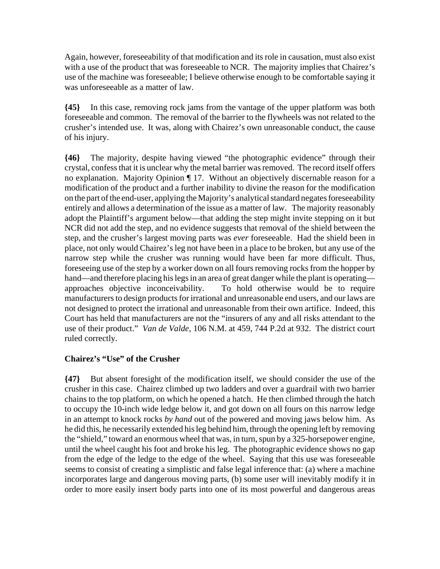Again, however, foreseeability of that modification and its role in causation, must also exist with a use of the product that was foreseeable to NCR. The majority implies that Chairez's use of the machine was foreseeable; I believe otherwise enough to be comfortable saying it was unforeseeable as a matter of law.

**{45}** In this case, removing rock jams from the vantage of the upper platform was both foreseeable and common. The removal of the barrier to the flywheels was not related to the crusher's intended use. It was, along with Chairez's own unreasonable conduct, the cause of his injury.

**{46}** The majority, despite having viewed "the photographic evidence" through their crystal, confess that it is unclear why the metal barrier was removed. The record itself offers no explanation. Majority Opinion ¶ 17. Without an objectively discernable reason for a modification of the product and a further inability to divine the reason for the modification on the part of the end-user, applying the Majority's analytical standard negates foreseeability entirely and allows a determination of the issue as a matter of law. The majority reasonably adopt the Plaintiff's argument below—that adding the step might invite stepping on it but NCR did not add the step, and no evidence suggests that removal of the shield between the step, and the crusher's largest moving parts was *ever* foreseeable. Had the shield been in place, not only would Chairez's leg not have been in a place to be broken, but any use of the narrow step while the crusher was running would have been far more difficult. Thus, foreseeing use of the step by a worker down on all fours removing rocks from the hopper by hand—and therefore placing his legs in an area of great danger while the plant is operating approaches objective inconceivability. To hold otherwise would be to require manufacturers to design products for irrational and unreasonable end users, and our laws are not designed to protect the irrational and unreasonable from their own artifice. Indeed, this Court has held that manufacturers are not the "insurers of any and all risks attendant to the use of their product." *Van de Valde*, 106 N.M. at 459, 744 P.2d at 932. The district court ruled correctly.

## **Chairez's "Use" of the Crusher**

**{47}** But absent foresight of the modification itself, we should consider the use of the crusher in this case. Chairez climbed up two ladders and over a guardrail with two barrier chains to the top platform, on which he opened a hatch. He then climbed through the hatch to occupy the 10-inch wide ledge below it, and got down on all fours on this narrow ledge in an attempt to knock rocks *by hand* out of the powered and moving jaws below him. As he did this, he necessarily extended his leg behind him, through the opening left by removing the "shield," toward an enormous wheel that was, in turn, spun by a 325-horsepower engine, until the wheel caught his foot and broke his leg. The photographic evidence shows no gap from the edge of the ledge to the edge of the wheel. Saying that this use was foreseeable seems to consist of creating a simplistic and false legal inference that: (a) where a machine incorporates large and dangerous moving parts, (b) some user will inevitably modify it in order to more easily insert body parts into one of its most powerful and dangerous areas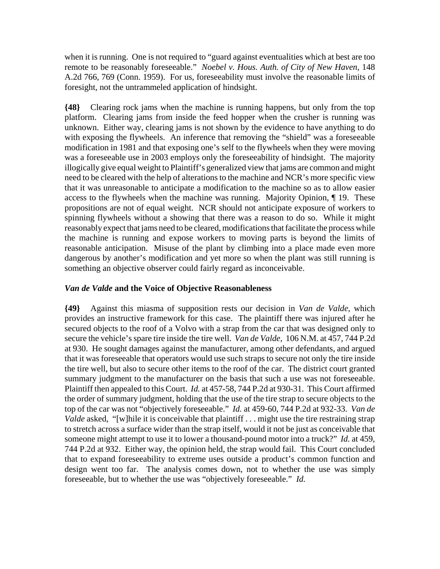when it is running. One is not required to "guard against eventualities which at best are too remote to be reasonably foreseeable." *Noebel v. Hous. Auth. of City of New Haven*, 148 A.2d 766, 769 (Conn. 1959). For us, foreseeability must involve the reasonable limits of foresight, not the untrammeled application of hindsight.

**{48}** Clearing rock jams when the machine is running happens, but only from the top platform. Clearing jams from inside the feed hopper when the crusher is running was unknown. Either way, clearing jams is not shown by the evidence to have anything to do with exposing the flywheels. An inference that removing the "shield" was a foreseeable modification in 1981 and that exposing one's self to the flywheels when they were moving was a foreseeable use in 2003 employs only the foreseeability of hindsight. The majority illogically give equal weight to Plaintiff's generalized view that jams are common and might need to be cleared with the help of alterations to the machine and NCR's more specific view that it was unreasonable to anticipate a modification to the machine so as to allow easier access to the flywheels when the machine was running. Majority Opinion, ¶ 19. These propositions are not of equal weight. NCR should not anticipate exposure of workers to spinning flywheels without a showing that there was a reason to do so. While it might reasonably expect that jams need to be cleared, modifications that facilitate the process while the machine is running and expose workers to moving parts is beyond the limits of reasonable anticipation. Misuse of the plant by climbing into a place made even more dangerous by another's modification and yet more so when the plant was still running is something an objective observer could fairly regard as inconceivable.

## *Van de Valde* **and the Voice of Objective Reasonableness**

**{49}** Against this miasma of supposition rests our decision in *Van de Valde*, which provides an instructive framework for this case. The plaintiff there was injured after he secured objects to the roof of a Volvo with a strap from the car that was designed only to secure the vehicle's spare tire inside the tire well. *Van de Valde*, 106 N.M. at 457, 744 P.2d at 930. He sought damages against the manufacturer, among other defendants, and argued that it was foreseeable that operators would use such straps to secure not only the tire inside the tire well, but also to secure other items to the roof of the car. The district court granted summary judgment to the manufacturer on the basis that such a use was not foreseeable. Plaintiff then appealed to this Court. *Id.* at 457-58, 744 P.2d at 930-31. This Court affirmed the order of summary judgment, holding that the use of the tire strap to secure objects to the top of the car was not "objectively foreseeable." *Id.* at 459-60, 744 P.2d at 932-33. *Van de Valde* asked, "[w]hile it is conceivable that plaintiff . . . might use the tire restraining strap to stretch across a surface wider than the strap itself, would it not be just as conceivable that someone might attempt to use it to lower a thousand-pound motor into a truck?" *Id.* at 459, 744 P.2d at 932. Either way, the opinion held, the strap would fail. This Court concluded that to expand foreseeability to extreme uses outside a product's common function and design went too far. The analysis comes down, not to whether the use was simply foreseeable, but to whether the use was "objectively foreseeable." *Id.*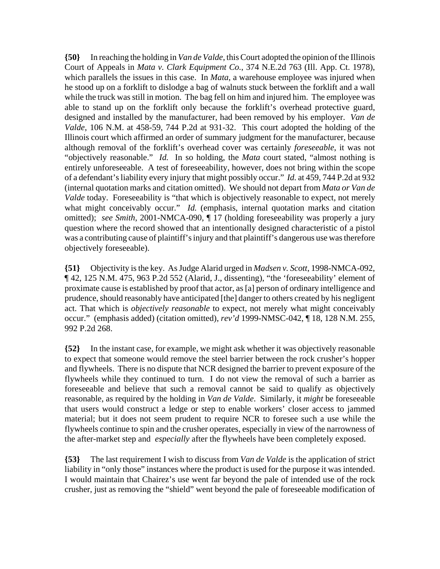**{50}** In reaching the holding in *Van de Valde*, this Court adopted the opinion of the Illinois Court of Appeals in *Mata v. Clark Equipment Co.*, 374 N.E.2d 763 (Ill. App. Ct. 1978), which parallels the issues in this case. In *Mata*, a warehouse employee was injured when he stood up on a forklift to dislodge a bag of walnuts stuck between the forklift and a wall while the truck was still in motion. The bag fell on him and injured him. The employee was able to stand up on the forklift only because the forklift's overhead protective guard, designed and installed by the manufacturer, had been removed by his employer. *Van de Valde*, 106 N.M. at 458-59, 744 P.2d at 931-32. This court adopted the holding of the Illinois court which affirmed an order of summary judgment for the manufacturer, because although removal of the forklift's overhead cover was certainly *foreseeable*, it was not "objectively reasonable." *Id.* In so holding, the *Mata* court stated, "almost nothing is entirely unforeseeable. A test of foreseeability, however, does not bring within the scope of a defendant's liability every injury that might possibly occur." *Id.* at 459, 744 P.2d at 932 (internal quotation marks and citation omitted). We should not depart from *Mata or Van de Valde* today. Foreseeability is "that which is objectively reasonable to expect, not merely what might conceivably occur." *Id.* (emphasis, internal quotation marks and citation omitted); *see Smith*, 2001-NMCA-090, ¶ 17 (holding foreseeability was properly a jury question where the record showed that an intentionally designed characteristic of a pistol was a contributing cause of plaintiff's injury and that plaintiff's dangerous use was therefore objectively foreseeable).

**{51}** Objectivity is the key. As Judge Alarid urged in *Madsen v. Scott*, 1998-NMCA-092, ¶ 42, 125 N.M. 475, 963 P.2d 552 (Alarid, J., dissenting), "the 'foreseeability' element of proximate cause is established by proof that actor, as [a] person of ordinary intelligence and prudence, should reasonably have anticipated [the] danger to others created by his negligent act. That which is *objectively reasonable* to expect, not merely what might conceivably occur." (emphasis added) (citation omitted), *rev'd* 1999-NMSC-042, ¶ 18, 128 N.M. 255, 992 P.2d 268.

**{52}** In the instant case, for example, we might ask whether it was objectively reasonable to expect that someone would remove the steel barrier between the rock crusher's hopper and flywheels. There is no dispute that NCR designed the barrier to prevent exposure of the flywheels while they continued to turn. I do not view the removal of such a barrier as foreseeable and believe that such a removal cannot be said to qualify as objectively reasonable, as required by the holding in *Van de Valde*. Similarly, it *might* be foreseeable that users would construct a ledge or step to enable workers' closer access to jammed material; but it does not seem prudent to require NCR to foresee such a use while the flywheels continue to spin and the crusher operates, especially in view of the narrowness of the after-market step and *especially* after the flywheels have been completely exposed.

**{53}** The last requirement I wish to discuss from *Van de Valde* is the application of strict liability in "only those" instances where the product is used for the purpose it was intended. I would maintain that Chairez's use went far beyond the pale of intended use of the rock crusher, just as removing the "shield" went beyond the pale of foreseeable modification of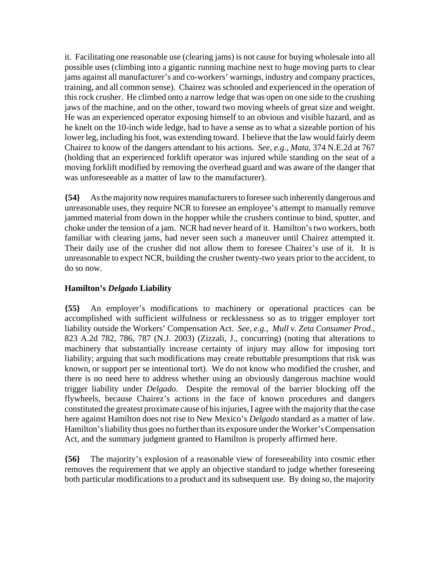it. Facilitating one reasonable use (clearing jams) is not cause for buying wholesale into all possible uses (climbing into a gigantic running machine next to huge moving parts to clear jams against all manufacturer's and co-workers' warnings, industry and company practices, training, and all common sense). Chairez was schooled and experienced in the operation of this rock crusher. He climbed onto a narrow ledge that was open on one side to the crushing jaws of the machine, and on the other, toward two moving wheels of great size and weight. He was an experienced operator exposing himself to an obvious and visible hazard, and as he knelt on the 10-inch wide ledge, had to have a sense as to what a sizeable portion of his lower leg, including his foot, was extending toward. I believe that the law would fairly deem Chairez to know of the dangers attendant to his actions. *See, e.g., Mata*, 374 N.E.2d at 767 (holding that an experienced forklift operator was injured while standing on the seat of a moving forklift modified by removing the overhead guard and was aware of the danger that was unforeseeable as a matter of law to the manufacturer).

**{54}** As the majority now requires manufacturers to foresee such inherently dangerous and unreasonable uses, they require NCR to foresee an employee's attempt to manually remove jammed material from down in the hopper while the crushers continue to bind, sputter, and choke under the tension of a jam. NCR had never heard of it. Hamilton's two workers, both familiar with clearing jams, had never seen such a maneuver until Chairez attempted it. Their daily use of the crusher did not allow them to foresee Chairez's use of it. It is unreasonable to expect NCR, building the crusher twenty-two years prior to the accident, to do so now.

# **Hamilton's** *Delgado* **Liability**

**{55}** An employer's modifications to machinery or operational practices can be accomplished with sufficient wilfulness or recklessness so as to trigger employer tort liability outside the Workers' Compensation Act. *See, e.g., Mull v. Zeta Consumer Prod.*, 823 A.2d 782, 786, 787 (N.J. 2003) (Zizzali, J., concurring) (noting that alterations to machinery that substantially increase certainty of injury may allow for imposing tort liability; arguing that such modifications may create rebuttable presumptions that risk was known, or support per se intentional tort). We do not know who modified the crusher, and there is no need here to address whether using an obviously dangerous machine would trigger liability under *Delgado*. Despite the removal of the barrier blocking off the flywheels, because Chairez's actions in the face of known procedures and dangers constituted the greatest proximate cause of his injuries, I agree with the majority that the case here against Hamilton does not rise to New Mexico's *Delgado* standard as a matter of law. Hamilton's liability thus goes no further than its exposure under the Worker's Compensation Act, and the summary judgment granted to Hamilton is properly affirmed here.

**{56}** The majority's explosion of a reasonable view of foreseeability into cosmic ether removes the requirement that we apply an objective standard to judge whether foreseeing both particular modifications to a product and its subsequent use. By doing so, the majority